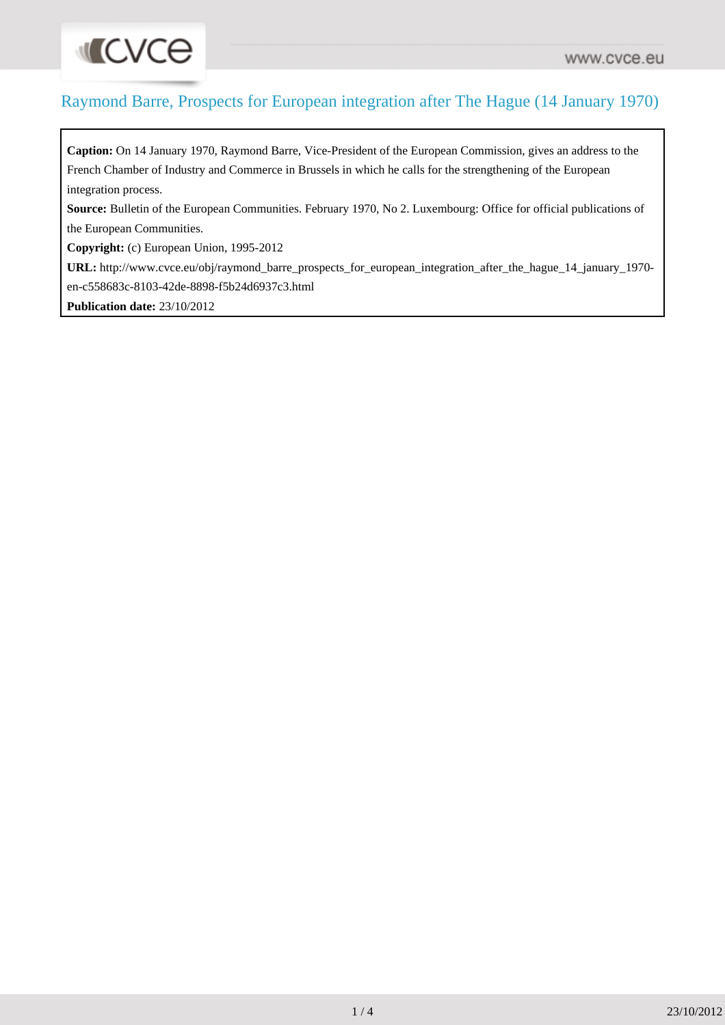## Raymond Barre, Prospects for European integration after The Hague (14 January 1970)

**Caption:** On 14 January 1970, Raymond Barre, Vice-President of the European Commission, gives an address to the French Chamber of Industry and Commerce in Brussels in which he calls for the strengthening of the European integration process.

**Source:** Bulletin of the European Communities. February 1970, No 2. Luxembourg: Office for official publications of the European Communities.

**Copyright:** (c) European Union, 1995-2012

**URL:** [http://www.cvce.eu/obj/raymond\\_barre\\_prospects\\_for\\_european\\_integration\\_after\\_the\\_hague\\_14\\_january\\_1970](http://www.cvce.eu/obj/raymond_barre_prospects_for_european_integration_after_the_hague_14_january_1970-en-c558683c-8103-42de-8898-f5b24d6937c3.html) [en-c558683c-8103-42de-8898-f5b24d6937c3.html](http://www.cvce.eu/obj/raymond_barre_prospects_for_european_integration_after_the_hague_14_january_1970-en-c558683c-8103-42de-8898-f5b24d6937c3.html)

**Publication date:** 23/10/2012

**INCVCe**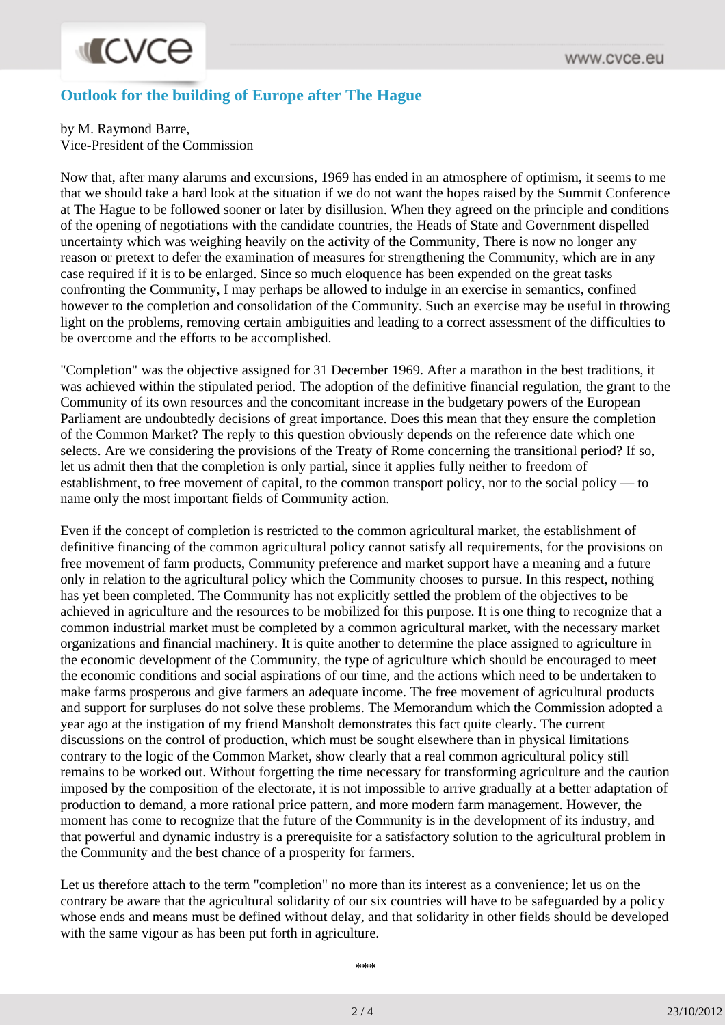## **INCVCe**

## **Outlook for the building of Europe after The Hague**

by M. Raymond Barre,

Vice-President of the Commission

Now that, after many alarums and excursions, 1969 has ended in an atmosphere of optimism, it seems to me that we should take a hard look at the situation if we do not want the hopes raised by the Summit Conference at The Hague to be followed sooner or later by disillusion. When they agreed on the principle and conditions of the opening of negotiations with the candidate countries, the Heads of State and Government dispelled uncertainty which was weighing heavily on the activity of the Community, There is now no longer any reason or pretext to defer the examination of measures for strengthening the Community, which are in any case required if it is to be enlarged. Since so much eloquence has been expended on the great tasks confronting the Community, I may perhaps be allowed to indulge in an exercise in semantics, confined however to the completion and consolidation of the Community. Such an exercise may be useful in throwing light on the problems, removing certain ambiguities and leading to a correct assessment of the difficulties to be overcome and the efforts to be accomplished.

"Completion" was the objective assigned for 31 December 1969. After a marathon in the best traditions, it was achieved within the stipulated period. The adoption of the definitive financial regulation, the grant to the Community of its own resources and the concomitant increase in the budgetary powers of the European Parliament are undoubtedly decisions of great importance. Does this mean that they ensure the completion of the Common Market? The reply to this question obviously depends on the reference date which one selects. Are we considering the provisions of the Treaty of Rome concerning the transitional period? If so, let us admit then that the completion is only partial, since it applies fully neither to freedom of establishment, to free movement of capital, to the common transport policy, nor to the social policy — to name only the most important fields of Community action.

Even if the concept of completion is restricted to the common agricultural market, the establishment of definitive financing of the common agricultural policy cannot satisfy all requirements, for the provisions on free movement of farm products, Community preference and market support have a meaning and a future only in relation to the agricultural policy which the Community chooses to pursue. In this respect, nothing has yet been completed. The Community has not explicitly settled the problem of the objectives to be achieved in agriculture and the resources to be mobilized for this purpose. It is one thing to recognize that a common industrial market must be completed by a common agricultural market, with the necessary market organizations and financial machinery. It is quite another to determine the place assigned to agriculture in the economic development of the Community, the type of agriculture which should be encouraged to meet the economic conditions and social aspirations of our time, and the actions which need to be undertaken to make farms prosperous and give farmers an adequate income. The free movement of agricultural products and support for surpluses do not solve these problems. The Memorandum which the Commission adopted a year ago at the instigation of my friend Mansholt demonstrates this fact quite clearly. The current discussions on the control of production, which must be sought elsewhere than in physical limitations contrary to the logic of the Common Market, show clearly that a real common agricultural policy still remains to be worked out. Without forgetting the time necessary for transforming agriculture and the caution imposed by the composition of the electorate, it is not impossible to arrive gradually at a better adaptation of production to demand, a more rational price pattern, and more modern farm management. However, the moment has come to recognize that the future of the Community is in the development of its industry, and that powerful and dynamic industry is a prerequisite for a satisfactory solution to the agricultural problem in the Community and the best chance of a prosperity for farmers.

Let us therefore attach to the term "completion" no more than its interest as a convenience; let us on the contrary be aware that the agricultural solidarity of our six countries will have to be safeguarded by a policy whose ends and means must be defined without delay, and that solidarity in other fields should be developed with the same vigour as has been put forth in agriculture.

\*\*\*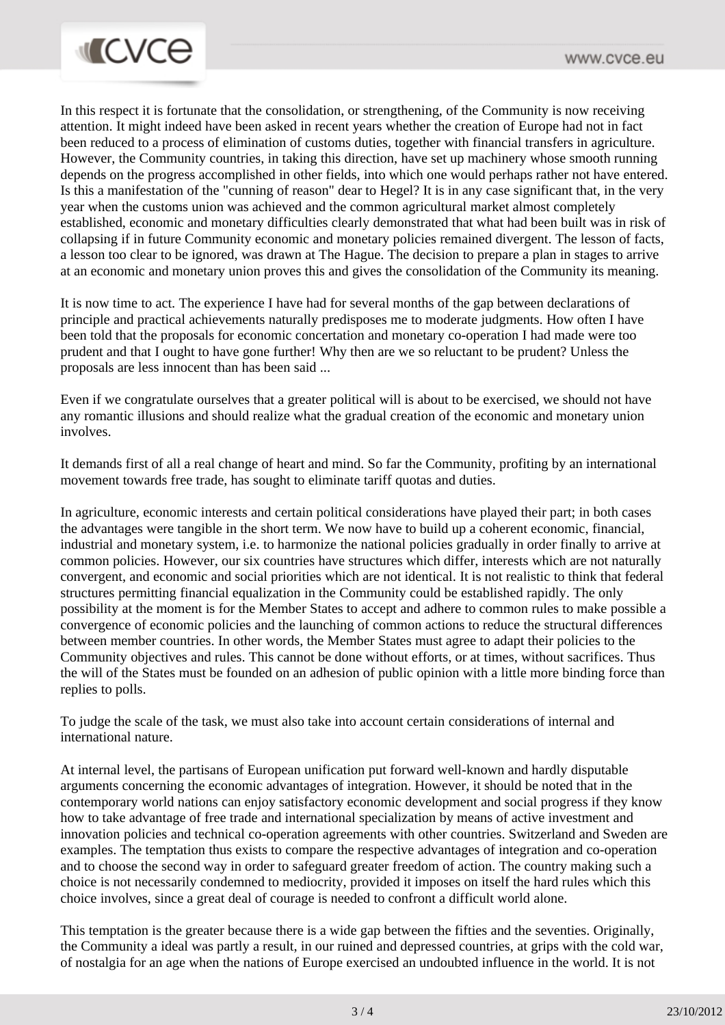

In this respect it is fortunate that the consolidation, or strengthening, of the Community is now receiving attention. It might indeed have been asked in recent years whether the creation of Europe had not in fact been reduced to a process of elimination of customs duties, together with financial transfers in agriculture. However, the Community countries, in taking this direction, have set up machinery whose smooth running depends on the progress accomplished in other fields, into which one would perhaps rather not have entered. Is this a manifestation of the "cunning of reason" dear to Hegel? It is in any case significant that, in the very year when the customs union was achieved and the common agricultural market almost completely established, economic and monetary difficulties clearly demonstrated that what had been built was in risk of collapsing if in future Community economic and monetary policies remained divergent. The lesson of facts, a lesson too clear to be ignored, was drawn at The Hague. The decision to prepare a plan in stages to arrive at an economic and monetary union proves this and gives the consolidation of the Community its meaning.

It is now time to act. The experience I have had for several months of the gap between declarations of principle and practical achievements naturally predisposes me to moderate judgments. How often I have been told that the proposals for economic concertation and monetary co-operation I had made were too prudent and that I ought to have gone further! Why then are we so reluctant to be prudent? Unless the proposals are less innocent than has been said ...

Even if we congratulate ourselves that a greater political will is about to be exercised, we should not have any romantic illusions and should realize what the gradual creation of the economic and monetary union involves.

It demands first of all a real change of heart and mind. So far the Community, profiting by an international movement towards free trade, has sought to eliminate tariff quotas and duties.

In agriculture, economic interests and certain political considerations have played their part; in both cases the advantages were tangible in the short term. We now have to build up a coherent economic, financial, industrial and monetary system, i.e. to harmonize the national policies gradually in order finally to arrive at common policies. However, our six countries have structures which differ, interests which are not naturally convergent, and economic and social priorities which are not identical. It is not realistic to think that federal structures permitting financial equalization in the Community could be established rapidly. The only possibility at the moment is for the Member States to accept and adhere to common rules to make possible a convergence of economic policies and the launching of common actions to reduce the structural differences between member countries. In other words, the Member States must agree to adapt their policies to the Community objectives and rules. This cannot be done without efforts, or at times, without sacrifices. Thus the will of the States must be founded on an adhesion of public opinion with a little more binding force than replies to polls.

To judge the scale of the task, we must also take into account certain considerations of internal and international nature.

At internal level, the partisans of European unification put forward well-known and hardly disputable arguments concerning the economic advantages of integration. However, it should be noted that in the contemporary world nations can enjoy satisfactory economic development and social progress if they know how to take advantage of free trade and international specialization by means of active investment and innovation policies and technical co-operation agreements with other countries. Switzerland and Sweden are examples. The temptation thus exists to compare the respective advantages of integration and co-operation and to choose the second way in order to safeguard greater freedom of action. The country making such a choice is not necessarily condemned to mediocrity, provided it imposes on itself the hard rules which this choice involves, since a great deal of courage is needed to confront a difficult world alone.

This temptation is the greater because there is a wide gap between the fifties and the seventies. Originally, the Community a ideal was partly a result, in our ruined and depressed countries, at grips with the cold war, of nostalgia for an age when the nations of Europe exercised an undoubted influence in the world. It is not